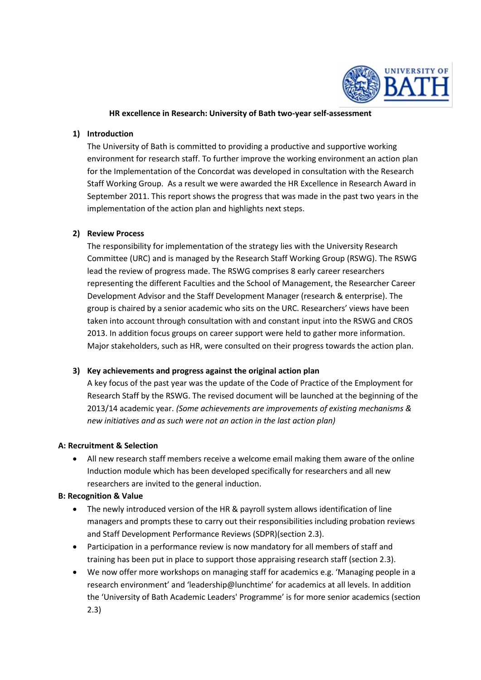

#### **HR excellence in Research: University of Bath two-year self-assessment**

#### **1) Introduction**

The University of Bath is committed to providing a productive and supportive working environment for research staff. To further improve the working environment an action plan for the Implementation of the Concordat was developed in consultation with the Research Staff Working Group. As a result we were awarded the HR Excellence in Research Award in September 2011. This report shows the progress that was made in the past two years in the implementation of the action plan and highlights next steps.

### **2) Review Process**

The responsibility for implementation of the strategy lies with the University Research Committee (URC) and is managed by the Research Staff Working Group (RSWG). The RSWG lead the review of progress made. The RSWG comprises 8 early career researchers representing the different Faculties and the School of Management, the Researcher Career Development Advisor and the Staff Development Manager (research & enterprise). The group is chaired by a senior academic who sits on the URC. Researchers' views have been taken into account through consultation with and constant input into the RSWG and CROS 2013. In addition focus groups on career support were held to gather more information. Major stakeholders, such as HR, were consulted on their progress towards the action plan.

### **3) Key achievements and progress against the original action plan**

A key focus of the past year was the update of the Code of Practice of the Employment for Research Staff by the RSWG. The revised document will be launched at the beginning of the 2013/14 academic year. *(Some achievements are improvements of existing mechanisms & new initiatives and as such were not an action in the last action plan)*

#### **A: Recruitment & Selection**

 All new research staff members receive a welcome email making them aware of the online Induction module which has been developed specifically for researchers and all new researchers are invited to the general induction.

#### **B: Recognition & Value**

- The newly introduced version of the HR & payroll system allows identification of line managers and prompts these to carry out their responsibilities including probation reviews and Staff Development Performance Reviews (SDPR)(section 2.3).
- Participation in a performance review is now mandatory for all members of staff and training has been put in place to support those appraising research staff (section 2.3).
- We now offer more workshops on managing staff for academics e.g. 'Managing people in a research environment' and 'leadership@lunchtime' for academics at all levels. In addition the 'University of Bath Academic Leaders' Programme' is for more senior academics (section 2.3)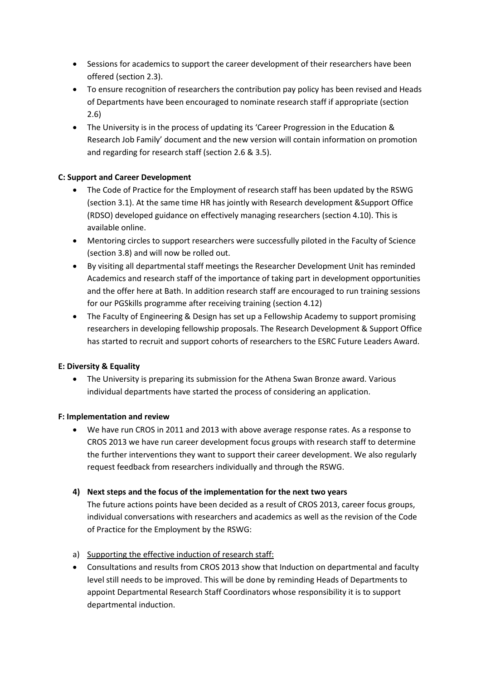- Sessions for academics to support the career development of their researchers have been offered (section 2.3).
- To ensure recognition of researchers the contribution pay policy has been revised and Heads of Departments have been encouraged to nominate research staff if appropriate (section 2.6)
- The University is in the process of updating its 'Career Progression in the Education & Research Job Family' document and the new version will contain information on promotion and regarding for research staff (section 2.6 & 3.5).

# **C: Support and Career Development**

- The Code of Practice for the Employment of research staff has been updated by the RSWG (section 3.1). At the same time HR has jointly with Research development &Support Office (RDSO) developed guidance on effectively managing researchers (section 4.10). This is available online.
- Mentoring circles to support researchers were successfully piloted in the Faculty of Science (section 3.8) and will now be rolled out.
- By visiting all departmental staff meetings the Researcher Development Unit has reminded Academics and research staff of the importance of taking part in development opportunities and the offer here at Bath. In addition research staff are encouraged to run training sessions for our PGSkills programme after receiving training (section 4.12)
- The Faculty of Engineering & Design has set up a Fellowship Academy to support promising researchers in developing fellowship proposals. The Research Development & Support Office has started to recruit and support cohorts of researchers to the ESRC Future Leaders Award.

# **E: Diversity & Equality**

 The University is preparing its submission for the Athena Swan Bronze award. Various individual departments have started the process of considering an application.

# **F: Implementation and review**

 We have run CROS in 2011 and 2013 with above average response rates. As a response to CROS 2013 we have run career development focus groups with research staff to determine the further interventions they want to support their career development. We also regularly request feedback from researchers individually and through the RSWG.

# **4) Next steps and the focus of the implementation for the next two years**

The future actions points have been decided as a result of CROS 2013, career focus groups, individual conversations with researchers and academics as well as the revision of the Code of Practice for the Employment by the RSWG:

- a) Supporting the effective induction of research staff:
- Consultations and results from CROS 2013 show that Induction on departmental and faculty level still needs to be improved. This will be done by reminding Heads of Departments to appoint Departmental Research Staff Coordinators whose responsibility it is to support departmental induction.